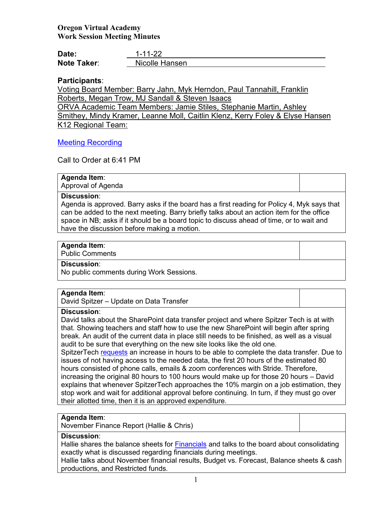## **Oregon Virtual Academy Work Session Meeting Minutes**

| Date:       | 1-11-22        |
|-------------|----------------|
| Note Taker: | Nicolle Hansen |

## **Participants**:

Voting Board Member: Barry Jahn, Myk Herndon, Paul Tannahill, Franklin Roberts, Megan Trow, MJ Sandall & Steven Isaacs ORVA Academic Team Members: Jamie Stiles, Stephanie Martin, Ashley Smithey, Mindy Kramer, Leanne Moll, Caitlin Klenz, Kerry Foley & Elyse Hansen

K12 Regional Team:

## [Meeting Recording](https://us02web.zoom.us/rec/share/2DRPsEUc1uEVm4icigpbFkZouAyPMlWPJMW_bdawa8KPPB2SWdzhlrSy_PcE_UZG.lqCMQAVDxjnoenqe?startTime=1641953657000)

Call to Order at 6:41 PM

## **Agenda Item**:

Approval of Agenda

## **Discussion**:

Agenda is approved. Barry asks if the board has a first reading for Policy 4, Myk says that can be added to the next meeting. Barry briefly talks about an action item for the office space in NB; asks if it should be a board topic to discuss ahead of time, or to wait and have the discussion before making a motion.

#### **Agenda Item**:

Public Comments

### **Discussion**:

No public comments during Work Sessions.

#### **Agenda Item**:

David Spitzer – Update on Data Transfer

### **Discussion**:

David talks about the SharePoint data transfer project and where Spitzer Tech is at with that. Showing teachers and staff how to use the new SharePoint will begin after spring break. An audit of the current data in place still needs to be finished, as well as a visual audit to be sure that everything on the new site looks like the old one.

SpitzerTech requests an increase in hours to be able to complete the data transfer. Due to issues of not having access to the needed data, the first 20 hours of the estimated 80 hours consisted of phone calls, emails & zoom conferences with Stride. Therefore, increasing the original 80 hours to 100 hours would make up for those 20 hours – David explains that whenever SpitzerTech approaches the 10% margin on a job estimation, they stop work and wait for additional approval before continuing. In turn, if they must go over their allotted time, then it is an approved expenditure.

#### **Agenda Item**:

November Finance Report (Hallie & Chris)

## **Discussion**:

Hallie shares the balance sheets for Financials and talks to the board about consolidating exactly what is discussed regarding financials during meetings.

Hallie talks about November financial results, Budget vs. Forecast, Balance sheets & cash productions, and Restricted funds.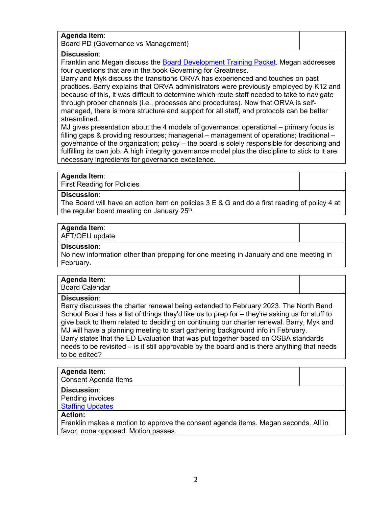# **Agenda Item**:

Board PD (Governance vs Management)

## **Discussion**:

Franklin and Megan discuss the [Board Development Training](https://docs.google.com/document/d/1L-oGB-LHkpYUitcaT_4qKlN48Unvhw3l07DTBZ8UrRw/edit?usp=sharing) Packet. Megan addresses four questions that are in the book Governing for Greatness.

Barry and Myk discuss the transitions ORVA has experienced and touches on past practices. Barry explains that ORVA administrators were previously employed by K12 and because of this, it was difficult to determine which route staff needed to take to navigate through proper channels (i.e., processes and procedures). Now that ORVA is selfmanaged, there is more structure and support for all staff, and protocols can be better streamlined.

MJ gives presentation about the 4 models of governance: operational – primary focus is filling gaps & providing resources; managerial – management of operations; traditional – governance of the organization; policy – the board is solely responsible for describing and fulfilling its own job. A high integrity governance model plus the discipline to stick to it are necessary ingredients for governance excellence.

#### **Agenda Item**:

First Reading for Policies

#### **Discussion**:

The Board will have an action item on policies 3 E & G and do a first reading of policy 4 at the regular board meeting on January 25<sup>th</sup>.

#### **Agenda Item**:

AFT/OEU update

#### **Discussion**:

No new information other than prepping for one meeting in January and one meeting in February.

## **Agenda Item**:

Board Calendar

#### **Discussion**:

Barry discusses the charter renewal being extended to February 2023. The North Bend School Board has a list of things they'd like us to prep for – they're asking us for stuff to give back to them related to deciding on continuing our charter renewal. Barry, Myk and MJ will have a planning meeting to start gathering background info in February. Barry states that the ED Evaluation that was put together based on OSBA standards needs to be revisited – is it still approvable by the board and is there anything that needs to be edited?

#### **Agenda Item**:

Consent Agenda Items

### **Discussion**:

Pending invoices Staffing Updates

# **Action:**

Franklin makes a motion to approve the consent agenda items. Megan seconds. All in favor, none opposed. Motion passes.